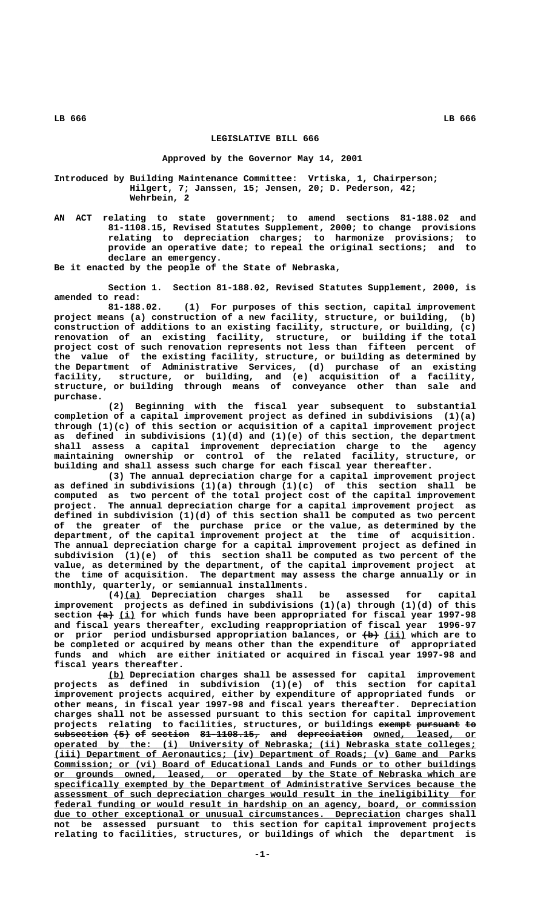## **LEGISLATIVE BILL 666**

## **Approved by the Governor May 14, 2001**

**Introduced by Building Maintenance Committee: Vrtiska, 1, Chairperson; Hilgert, 7; Janssen, 15; Jensen, 20; D. Pederson, 42; Wehrbein, 2**

**AN ACT relating to state government; to amend sections 81-188.02 and 81-1108.15, Revised Statutes Supplement, 2000; to change provisions relating to depreciation charges; to harmonize provisions; to provide an operative date; to repeal the original sections; and to declare an emergency.**

**Be it enacted by the people of the State of Nebraska,**

**Section 1. Section 81-188.02, Revised Statutes Supplement, 2000, is amended to read:**

**81-188.02. (1) For purposes of this section, capital improvement project means (a) construction of a new facility, structure, or building, (b) construction of additions to an existing facility, structure, or building, (c) renovation of an existing facility, structure, or building if the total project cost of such renovation represents not less than fifteen percent of the value of the existing facility, structure, or building as determined by the Department of Administrative Services, (d) purchase of an existing facility, structure, or building, and (e) acquisition of a facility, structure, or building through means of conveyance other than sale and purchase.**

**(2) Beginning with the fiscal year subsequent to substantial completion of a capital improvement project as defined in subdivisions (1)(a) through (1)(c) of this section or acquisition of a capital improvement project as defined in subdivisions (1)(d) and (1)(e) of this section, the department shall assess a capital improvement depreciation charge to the agency maintaining ownership or control of the related facility, structure, or building and shall assess such charge for each fiscal year thereafter.**

**(3) The annual depreciation charge for a capital improvement project as defined in subdivisions (1)(a) through (1)(c) of this section shall be computed as two percent of the total project cost of the capital improvement project. The annual depreciation charge for a capital improvement project as defined in subdivision (1)(d) of this section shall be computed as two percent of the greater of the purchase price or the value, as determined by the department, of the capital improvement project at the time of acquisition. The annual depreciation charge for a capital improvement project as defined in subdivision (1)(e) of this section shall be computed as two percent of the value, as determined by the department, of the capital improvement project at the time of acquisition. The department may assess the charge annually or in monthly, quarterly, or semiannual installments.**

 **\_\_\_ (4)(a) Depreciation charges shall be assessed for capital improvement projects as defined in subdivisions (1)(a) through (1)(d) of this** section  $\overline{+a}$  (i) for which funds have been appropriated for fiscal year 1997-98 **and fiscal years thereafter, excluding reappropriation of fiscal year 1996-97** or prior period undisbursed appropriation balances, or  $\{\rightarrow\}$  (ii) which are to **be completed or acquired by means other than the expenditure of appropriated funds and which are either initiated or acquired in fiscal year 1997-98 and fiscal years thereafter.**

 **\_\_\_ (b) Depreciation charges shall be assessed for capital improvement projects as defined in subdivision (1)(e) of this section for capital improvement projects acquired, either by expenditure of appropriated funds or other means, in fiscal year 1997-98 and fiscal years thereafter. Depreciation charges shall not be assessed pursuant to this section for capital improvement** projects relating to facilities, structures, or buildings exempt pursuant to  $subsection$  (5) of section 81-1108.15, and depreciation owned, leased, or  **\_\_\_\_\_\_\_\_\_\_\_\_\_\_\_\_\_\_\_\_\_\_\_\_\_\_\_\_\_\_\_\_\_\_\_\_\_\_\_\_\_\_\_\_\_\_\_\_\_\_\_\_\_\_\_\_\_\_\_\_\_\_\_\_\_\_\_\_\_\_\_\_\_\_\_\_\_\_ operated by the: (i) University of Nebraska; (ii) Nebraska state colleges; \_\_\_\_\_\_\_\_\_\_\_\_\_\_\_\_\_\_\_\_\_\_\_\_\_\_\_\_\_\_\_\_\_\_\_\_\_\_\_\_\_\_\_\_\_\_\_\_\_\_\_\_\_\_\_\_\_\_\_\_\_\_\_\_\_\_\_\_\_\_\_\_\_\_\_\_\_\_ (iii) Department of Aeronautics; (iv) Department of Roads; (v) Game and Parks \_\_\_\_\_\_\_\_\_\_\_\_\_\_\_\_\_\_\_\_\_\_\_\_\_\_\_\_\_\_\_\_\_\_\_\_\_\_\_\_\_\_\_\_\_\_\_\_\_\_\_\_\_\_\_\_\_\_\_\_\_\_\_\_\_\_\_\_\_\_\_\_\_\_\_\_\_\_ Commission; or (vi) Board of Educational Lands and Funds or to other buildings \_\_\_\_\_\_\_\_\_\_\_\_\_\_\_\_\_\_\_\_\_\_\_\_\_\_\_\_\_\_\_\_\_\_\_\_\_\_\_\_\_\_\_\_\_\_\_\_\_\_\_\_\_\_\_\_\_\_\_\_\_\_\_\_\_\_\_\_\_\_\_\_\_\_\_\_\_\_ or grounds owned, leased, or operated by the State of Nebraska which are \_\_\_\_\_\_\_\_\_\_\_\_\_\_\_\_\_\_\_\_\_\_\_\_\_\_\_\_\_\_\_\_\_\_\_\_\_\_\_\_\_\_\_\_\_\_\_\_\_\_\_\_\_\_\_\_\_\_\_\_\_\_\_\_\_\_\_\_\_\_\_\_\_\_\_\_\_\_ specifically exempted by the Department of Administrative Services because the \_\_\_\_\_\_\_\_\_\_\_\_\_\_\_\_\_\_\_\_\_\_\_\_\_\_\_\_\_\_\_\_\_\_\_\_\_\_\_\_\_\_\_\_\_\_\_\_\_\_\_\_\_\_\_\_\_\_\_\_\_\_\_\_\_\_\_\_\_\_\_\_\_\_\_\_\_\_ assessment of such depreciation charges would result in the ineligibility for \_\_\_\_\_\_\_\_\_\_\_\_\_\_\_\_\_\_\_\_\_\_\_\_\_\_\_\_\_\_\_\_\_\_\_\_\_\_\_\_\_\_\_\_\_\_\_\_\_\_\_\_\_\_\_\_\_\_\_\_\_\_\_\_\_\_\_\_\_\_\_\_\_\_\_\_\_\_ federal funding or would result in hardship on an agency, board, or commission**  $due to other exceptional or unusual circumstances. Depreciation changes shall$ </u> **not be assessed pursuant to this section for capital improvement projects relating to facilities, structures, or buildings of which the department is**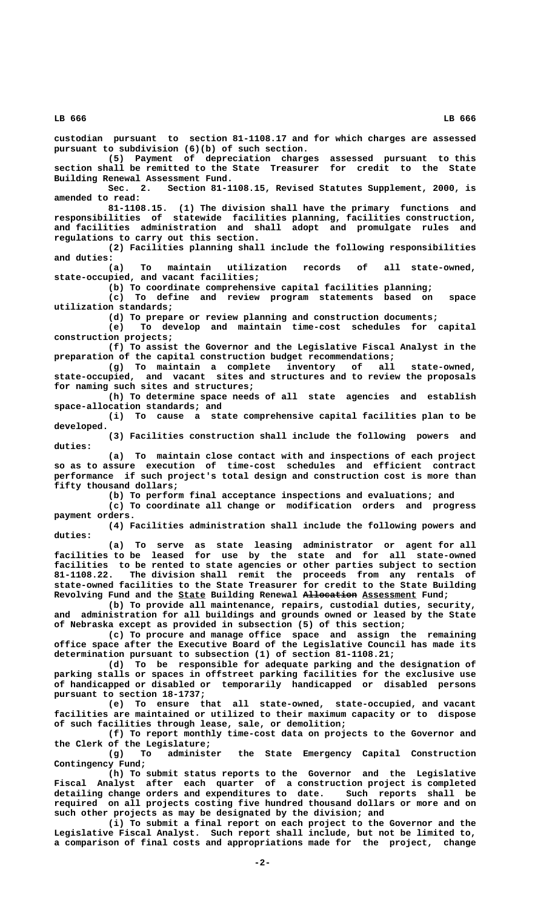**LB 666 LB 666**

**custodian pursuant to section 81-1108.17 and for which charges are assessed pursuant to subdivision (6)(b) of such section.**

**(5) Payment of depreciation charges assessed pursuant to this section shall be remitted to the State Treasurer for credit to the State Building Renewal Assessment Fund.**

**Sec. 2. Section 81-1108.15, Revised Statutes Supplement, 2000, is amended to read:**

**81-1108.15. (1) The division shall have the primary functions and responsibilities of statewide facilities planning, facilities construction, and facilities administration and shall adopt and promulgate rules and regulations to carry out this section.**

**(2) Facilities planning shall include the following responsibilities and duties:**

**(a) To maintain utilization records of all state-owned, state-occupied, and vacant facilities;**

**(b) To coordinate comprehensive capital facilities planning;**

**(c) To define and review program statements based on space utilization standards;**

**(d) To prepare or review planning and construction documents; (e) To develop and maintain time-cost schedules for capital**

 **construction projects;**

**(f) To assist the Governor and the Legislative Fiscal Analyst in the preparation of the capital construction budget recommendations;**

**(g) To maintain a complete inventory of all state-owned, state-occupied, and vacant sites and structures and to review the proposals for naming such sites and structures;**

**(h) To determine space needs of all state agencies and establish space-allocation standards; and**

**(i) To cause a state comprehensive capital facilities plan to be developed.**

**(3) Facilities construction shall include the following powers and duties:**

**(a) To maintain close contact with and inspections of each project so as to assure execution of time-cost schedules and efficient contract performance if such project's total design and construction cost is more than fifty thousand dollars;**

**(b) To perform final acceptance inspections and evaluations; and**

**(c) To coordinate all change or modification orders and progress payment orders.**

**(4) Facilities administration shall include the following powers and duties:**

**(a) To serve as state leasing administrator or agent for all facilities to be leased for use by the state and for all state-owned facilities to be rented to state agencies or other parties subject to section 81-1108.22. The division shall remit the proceeds from any rentals of state-owned facilities to the State Treasurer for credit to the State Building** Revolving Fund and the **State Building Renewal <del>Allocation</del> Assessment** Fund;

**(b) To provide all maintenance, repairs, custodial duties, security, and administration for all buildings and grounds owned or leased by the State of Nebraska except as provided in subsection (5) of this section;**

**(c) To procure and manage office space and assign the remaining office space after the Executive Board of the Legislative Council has made its determination pursuant to subsection (1) of section 81-1108.21;**

**(d) To be responsible for adequate parking and the designation of parking stalls or spaces in offstreet parking facilities for the exclusive use of handicapped or disabled or temporarily handicapped or disabled persons pursuant to section 18-1737;**

**(e) To ensure that all state-owned, state-occupied, and vacant facilities are maintained or utilized to their maximum capacity or to dispose of such facilities through lease, sale, or demolition;**

**(f) To report monthly time-cost data on projects to the Governor and the Clerk of the Legislature;**

**(g) To administer the State Emergency Capital Construction Contingency Fund;**

**(h) To submit status reports to the Governor and the Legislative Fiscal Analyst after each quarter of a construction project is completed detailing change orders and expenditures to date. Such reports shall be required on all projects costing five hundred thousand dollars or more and on such other projects as may be designated by the division; and**

**(i) To submit a final report on each project to the Governor and the Legislative Fiscal Analyst. Such report shall include, but not be limited to, a comparison of final costs and appropriations made for the project, change**